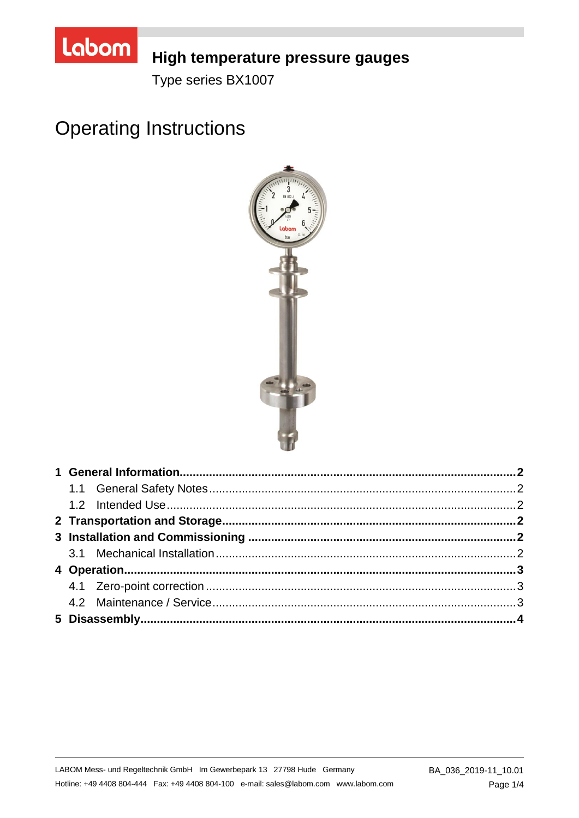

## High temperature pressure gauges

Type series BX1007

# **Operating Instructions**

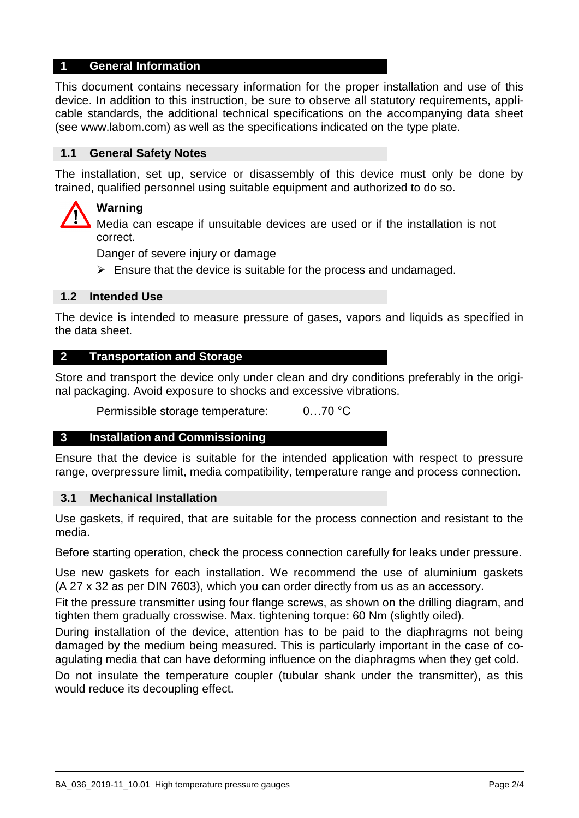## **1 General Information**

This document contains necessary information for the proper installation and use of this device. In addition to this instruction, be sure to observe all statutory requirements, applicable standards, the additional technical specifications on the accompanying data sheet (see www.labom.com) as well as the specifications indicated on the type plate.

## **1.1 General Safety Notes**

The installation, set up, service or disassembly of this device must only be done by trained, qualified personnel using suitable equipment and authorized to do so.

## **Warning**

Media can escape if unsuitable devices are used or if the installation is not correct.

Danger of severe injury or damage

 $\triangleright$  Ensure that the device is suitable for the process and undamaged.

## **1.2 Intended Use**

The device is intended to measure pressure of gases, vapors and liquids as specified in the data sheet.

## **2 Transportation and Storage**

Store and transport the device only under clean and dry conditions preferably in the original packaging. Avoid exposure to shocks and excessive vibrations.

Permissible storage temperature: 0…70 °C

#### **3 Installation and Commissioning**

Ensure that the device is suitable for the intended application with respect to pressure range, overpressure limit, media compatibility, temperature range and process connection.

#### **3.1 Mechanical Installation**

Use gaskets, if required, that are suitable for the process connection and resistant to the media.

Before starting operation, check the process connection carefully for leaks under pressure.

Use new gaskets for each installation. We recommend the use of aluminium gaskets (A 27 x 32 as per DIN 7603), which you can order directly from us as an accessory.

Fit the pressure transmitter using four flange screws, as shown on the drilling diagram, and tighten them gradually crosswise. Max. tightening torque: 60 Nm (slightly oiled).

During installation of the device, attention has to be paid to the diaphragms not being damaged by the medium being measured. This is particularly important in the case of coagulating media that can have deforming influence on the diaphragms when they get cold.

Do not insulate the temperature coupler (tubular shank under the transmitter), as this would reduce its decoupling effect.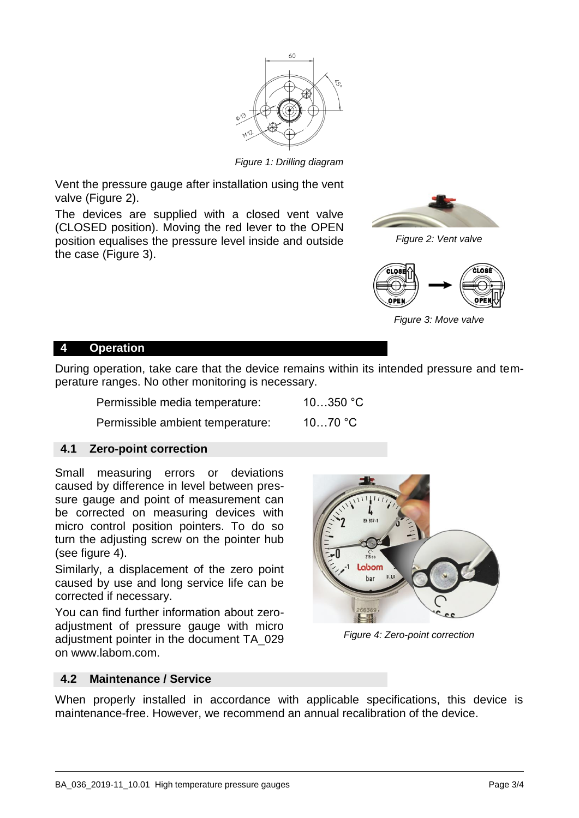

*Figure 1: Drilling diagram*

Vent the pressure gauge after installation using the vent valve (Figure [2\)](#page-2-0).

The devices are supplied with a closed vent valve (CLOSED position). Moving the red lever to the OPEN position equalises the pressure level inside and outside the case (Figure [3\)](#page-2-1).

<span id="page-2-0"></span>

*Figure 2: Vent valve*

<span id="page-2-1"></span>

*Figure 3: Move valve*

## **4 Operation**

During operation, take care that the device remains within its intended pressure and temperature ranges. No other monitoring is necessary.

| Permissible media temperature: | $10350$ °C |
|--------------------------------|------------|
|                                |            |

Permissible ambient temperature: 10…70 °C

## **4.1 Zero-point correction**

Small measuring errors or deviations caused by difference in level between pressure gauge and point of measurement can be corrected on measuring devices with micro control position pointers. To do so turn the adjusting screw on the pointer hub (see figure [4\)](#page-2-2).

Similarly, a displacement of the zero point caused by use and long service life can be corrected if necessary.

You can find further information about zeroadjustment of pressure gauge with micro adjustment pointer in the document TA\_029 on www.labom.com.

<span id="page-2-2"></span>

*Figure 4: Zero-point correction*

## **4.2 Maintenance / Service**

When properly installed in accordance with applicable specifications, this device is maintenance-free. However, we recommend an annual recalibration of the device.